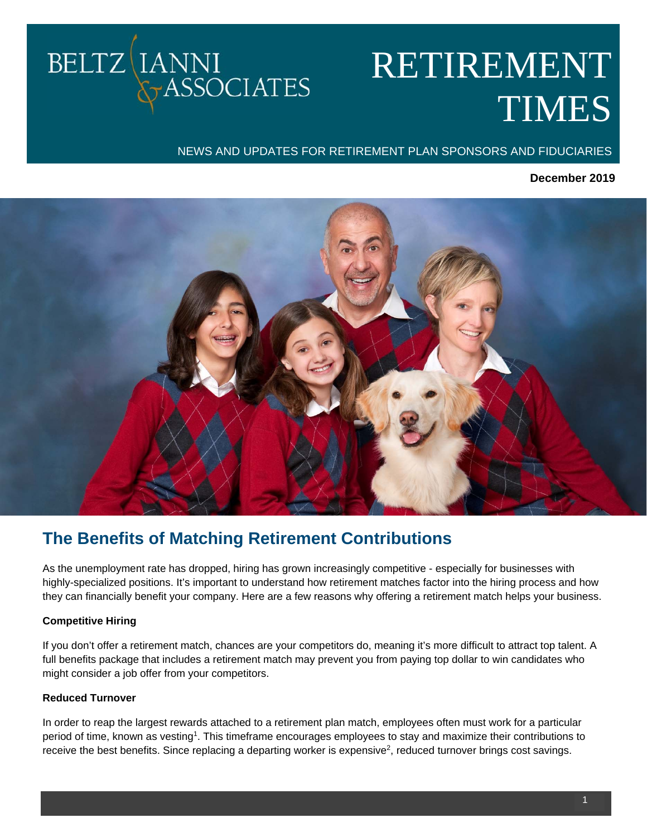# RETIREMENT TIMES

## NEWS AND UPDATES FOR RETIREMENT PLAN SPONSORS AND FIDUCIARIES

## **December 2019**



# **The Benefits of Matching Retirement Contributions**

As the unemployment rate has dropped, hiring has grown increasingly competitive - especially for businesses with highly-specialized positions. It's important to understand how retirement matches factor into the hiring process and how they can financially benefit your company. Here are a few reasons why offering a retirement match helps your business.

## **Competitive Hiring**

BELTZ LANNI

**TASSOCIATES** 

If you don't offer a retirement match, chances are your competitors do, meaning it's more difficult to attract top talent. A full benefits package that includes a retirement match may prevent you from paying top dollar to win candidates who might consider a job offer from your competitors.

## **Reduced Turnover**

In order to reap the largest rewards attached to a retirement plan match, employees often must work for a particular period of time, known as vesting<sup>1</sup>. This timeframe encourages employees to stay and maximize their contributions to receive the best benefits. Since replacing a departing worker is expensive<sup>2</sup>, reduced turnover brings cost savings.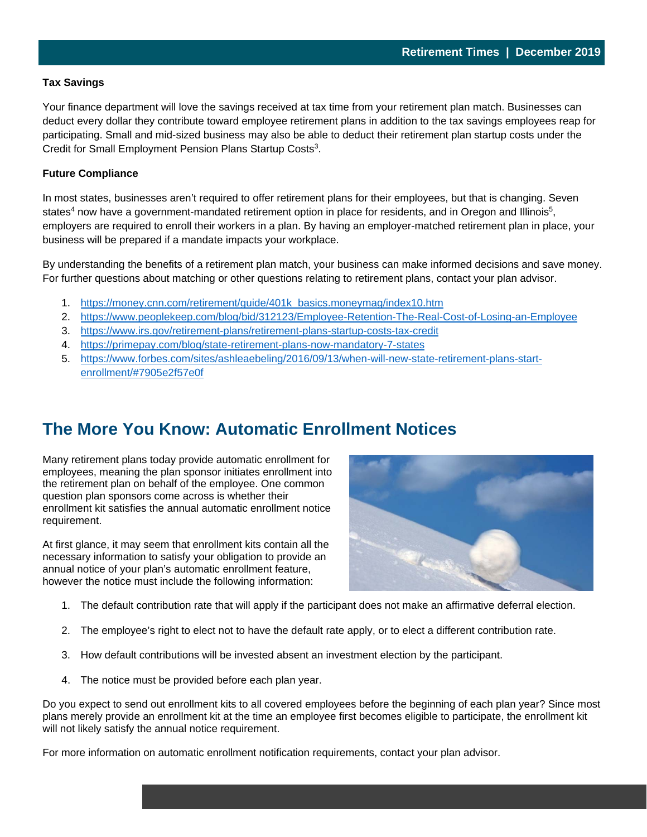#### **Tax Savings**

Your finance department will love the savings received at tax time from your retirement plan match. Businesses can deduct every dollar they contribute toward employee retirement plans in addition to the tax savings employees reap for participating. Small and mid-sized business may also be able to deduct their retirement plan startup costs under the Credit for Small Employment Pension Plans Startup Costs<sup>3</sup>.

#### **Future Compliance**

In most states, businesses aren't required to offer retirement plans for their employees, but that is changing. Seven states<sup>4</sup> now have a government-mandated retirement option in place for residents, and in Oregon and Illinois<sup>5</sup>, employers are required to enroll their workers in a plan. By having an employer-matched retirement plan in place, your business will be prepared if a mandate impacts your workplace.

By understanding the benefits of a retirement plan match, your business can make informed decisions and save money. For further questions about matching or other questions relating to retirement plans, contact your plan advisor.

- 1. https://money.cnn.com/retirement/guide/401k\_basics.moneymag/index10.htm
- 2. https://www.peoplekeep.com/blog/bid/312123/Employee-Retention-The-Real-Cost-of-Losing-an-Employee
- 3. https://www.irs.gov/retirement-plans/retirement-plans-startup-costs-tax-credit
- 4. https://primepay.com/blog/state-retirement-plans-now-mandatory-7-states
- 5. https://www.forbes.com/sites/ashleaebeling/2016/09/13/when-will-new-state-retirement-plans-startenrollment/#7905e2f57e0f

# **The More You Know: Automatic Enrollment Notices**

Many retirement plans today provide automatic enrollment for employees, meaning the plan sponsor initiates enrollment into the retirement plan on behalf of the employee. One common question plan sponsors come across is whether their enrollment kit satisfies the annual automatic enrollment notice requirement.

At first glance, it may seem that enrollment kits contain all the necessary information to satisfy your obligation to provide an annual notice of your plan's automatic enrollment feature, however the notice must include the following information:



2

- 1. The default contribution rate that will apply if the participant does not make an affirmative deferral election.
- 2. The employee's right to elect not to have the default rate apply, or to elect a different contribution rate.
- 3. How default contributions will be invested absent an investment election by the participant.
- 4. The notice must be provided before each plan year.

Do you expect to send out enrollment kits to all covered employees before the beginning of each plan year? Since most plans merely provide an enrollment kit at the time an employee first becomes eligible to participate, the enrollment kit will not likely satisfy the annual notice requirement.

For more information on automatic enrollment notification requirements, contact your plan advisor.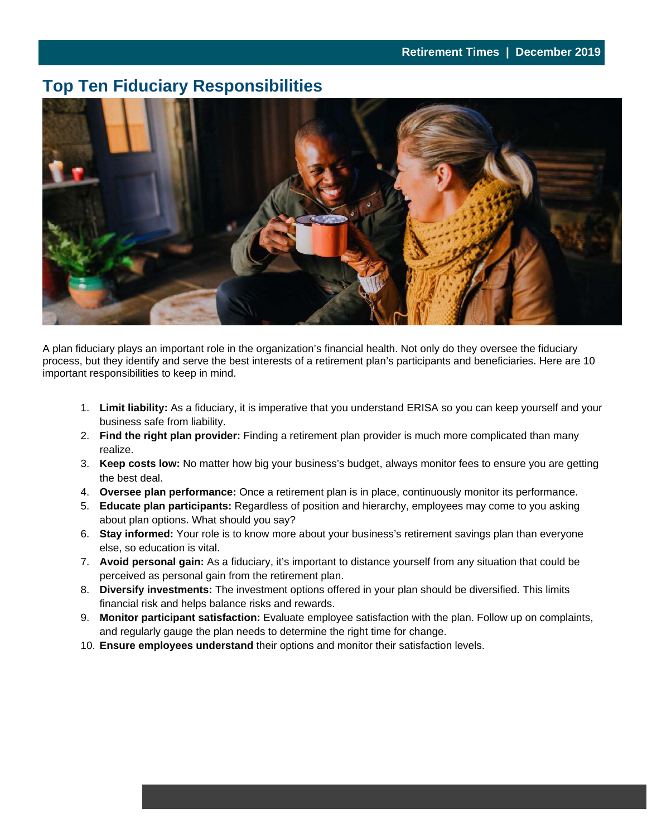3

# **Top Ten Fiduciary Responsibilities**



A plan fiduciary plays an important role in the organization's financial health. Not only do they oversee the fiduciary process, but they identify and serve the best interests of a retirement plan's participants and beneficiaries. Here are 10 important responsibilities to keep in mind.

- 1. **Limit liability:** As a fiduciary, it is imperative that you understand ERISA so you can keep yourself and your business safe from liability.
- 2. **Find the right plan provider:** Finding a retirement plan provider is much more complicated than many realize.
- 3. **Keep costs low:** No matter how big your business's budget, always monitor fees to ensure you are getting the best deal.
- 4. **Oversee plan performance:** Once a retirement plan is in place, continuously monitor its performance.
- 5. **Educate plan participants:** Regardless of position and hierarchy, employees may come to you asking about plan options. What should you say?
- 6. **Stay informed:** Your role is to know more about your business's retirement savings plan than everyone else, so education is vital.
- 7. **Avoid personal gain:** As a fiduciary, it's important to distance yourself from any situation that could be perceived as personal gain from the retirement plan.
- 8. **Diversify investments:** The investment options offered in your plan should be diversified. This limits financial risk and helps balance risks and rewards.
- 9. **Monitor participant satisfaction:** Evaluate employee satisfaction with the plan. Follow up on complaints, and regularly gauge the plan needs to determine the right time for change.
- 10. **Ensure employees understand** their options and monitor their satisfaction levels.